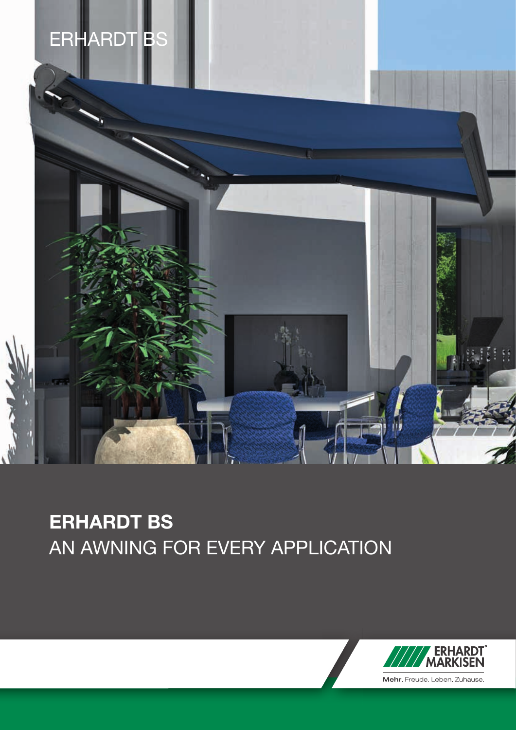

# ERHARDT BS AN AWNING FOR EVERY APPLICATION

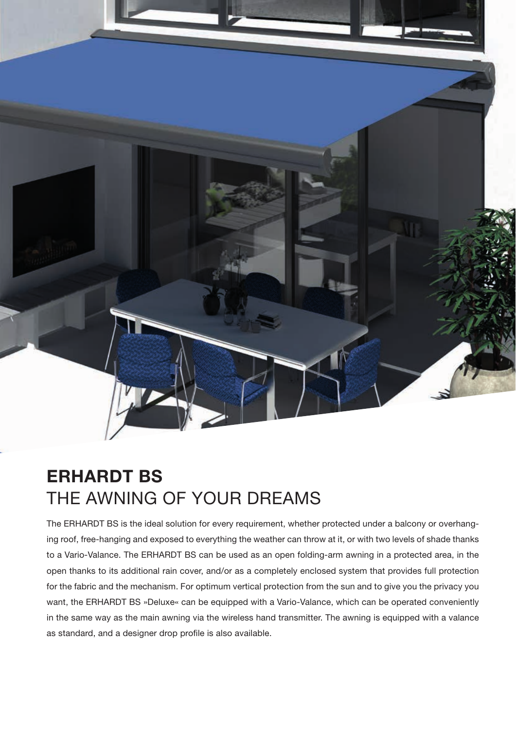

## ERHARDT BS THE AWNING OF YOUR DREAMS

The ERHARDT BS is the ideal solution for every requirement, whether protected under a balcony or overhanging roof, free-hanging and exposed to everything the weather can throw at it, or with two levels of shade thanks to a Vario-Valance. The ERHARDT BS can be used as an open folding-arm awning in a protected area, in the open thanks to its additional rain cover, and/or as a completely enclosed system that provides full protection for the fabric and the mechanism. For optimum vertical protection from the sun and to give you the privacy you want, the ERHARDT BS »Deluxe« can be equipped with a Vario-Valance, which can be operated conveniently in the same way as the main awning via the wireless hand transmitter. The awning is equipped with a valance as standard, and a designer drop profile is also available.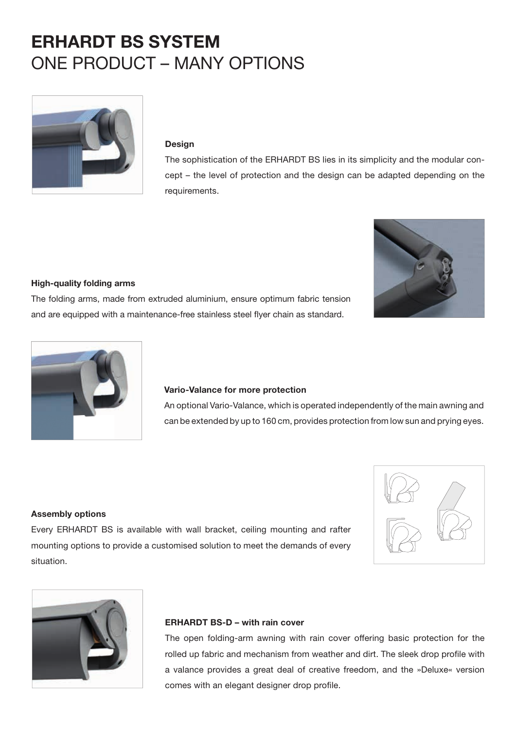## ERHARDT BS SYSTEM ONE PRODUCT – MANY OPTIONS



#### Design

The sophistication of the ERHARDT BS lies in its simplicity and the modular concept – the level of protection and the design can be adapted depending on the requirements.



#### High-quality folding arms

The folding arms, made from extruded aluminium, ensure optimum fabric tension and are equipped with a maintenance-free stainless steel flyer chain as standard.



#### Vario-Valance for more protection

An optional Vario-Valance, which is operated independently of the main awning and can be extended by up to 160 cm, provides protection from low sun and prying eyes.

#### Assembly options

Every ERHARDT BS is available with wall bracket, ceiling mounting and rafter mounting options to provide a customised solution to meet the demands of every situation.





#### ERHARDT BS-D – with rain cover

The open folding-arm awning with rain cover offering basic protection for the rolled up fabric and mechanism from weather and dirt. The sleek drop profile with a valance provides a great deal of creative freedom, and the »Deluxe« version comes with an elegant designer drop profile.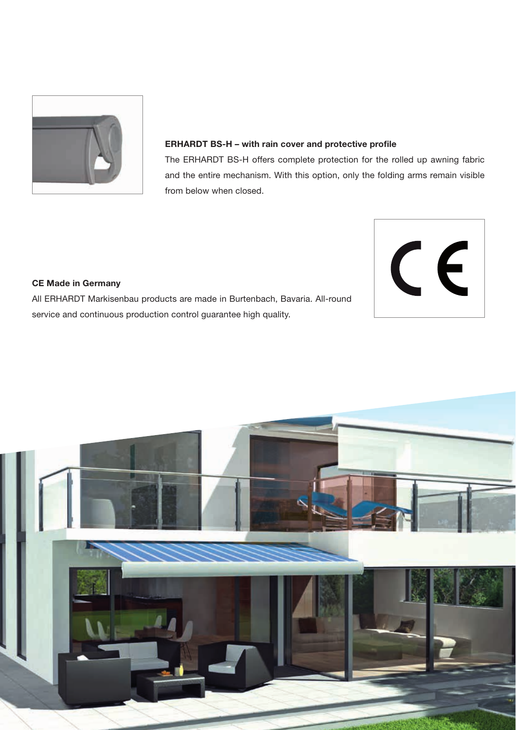

#### ERHARDT BS-H – with rain cover and protective profile

The ERHARDT BS-H offers complete protection for the rolled up awning fabric and the entire mechanism. With this option, only the folding arms remain visible from below when closed.



### CE Made in Germany

All ERHARDT Markisenbau products are made in Burtenbach, Bavaria. All-round service and continuous production control guarantee high quality.

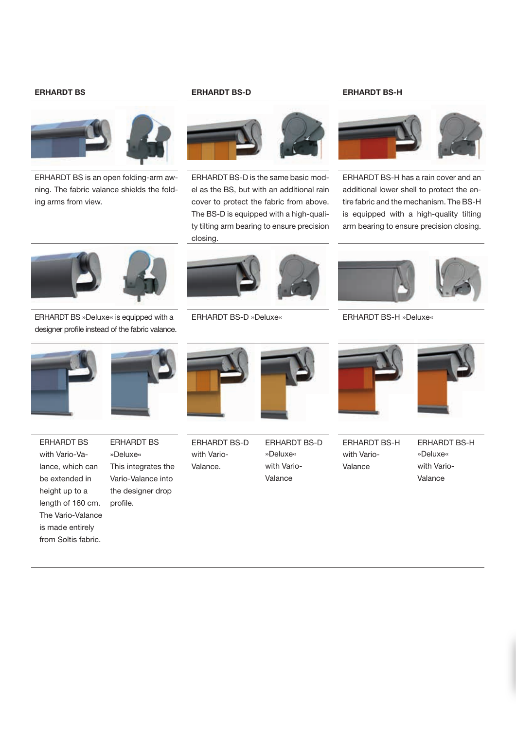

ERHARDT BS is an open folding-arm awning. The fabric valance shields the folding arms from view.

#### ERHARDT BS ERHARDT BS-D ERHARDT BS-H



ERHARDT BS-D is the same basic model as the BS, but with an additional rain cover to protect the fabric from above. The BS-D is equipped with a high-quality tilting arm bearing to ensure precision closing.



ERHARDT BS-H has a rain cover and an additional lower shell to protect the entire fabric and the mechanism. The BS-H is equipped with a high-quality tilting arm bearing to ensure precision closing.



ERHARDT BS »Deluxe« is equipped with a designer profile instead of the fabric valance.



ERHARDT BS with Vario-Valance, which can be extended in height up to a length of 160 cm. The Vario-Valance is made entirely from Soltis fabric.



ERHARDT BS »Deluxe« This integrates the Vario-Valance into the designer drop profile.





ERHARDT BS-D »Deluxe« ERHARDT BS-H »Deluxe«



ERHARDT BS-H with Vario-Valance



ERHARDT BS-H »Deluxe« with Vario-Valance



ERHARDT BS-D with Vario-Valance.



»Deluxe« with Vario-Valance